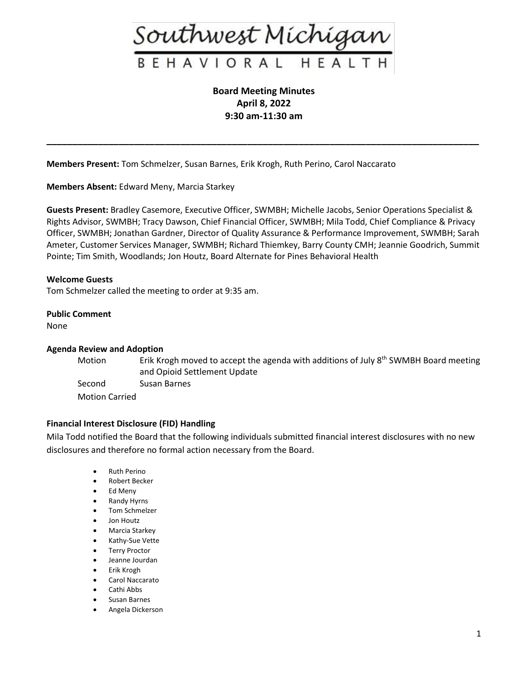

**Board Meeting Minutes April 8, 2022 9:30 am-11:30 am**

**\_\_\_\_\_\_\_\_\_\_\_\_\_\_\_\_\_\_\_\_\_\_\_\_\_\_\_\_\_\_\_\_\_\_\_\_\_\_\_\_\_\_\_\_\_\_\_\_\_\_\_\_\_\_\_\_\_\_\_\_\_\_\_\_\_\_\_\_\_\_\_\_\_\_\_\_\_\_\_\_\_\_\_\_**

**Members Present:** Tom Schmelzer, Susan Barnes, Erik Krogh, Ruth Perino, Carol Naccarato

**Members Absent:** Edward Meny, Marcia Starkey

**Guests Present:** Bradley Casemore, Executive Officer, SWMBH; Michelle Jacobs, Senior Operations Specialist & Rights Advisor, SWMBH; Tracy Dawson, Chief Financial Officer, SWMBH; Mila Todd, Chief Compliance & Privacy Officer, SWMBH; Jonathan Gardner, Director of Quality Assurance & Performance Improvement, SWMBH; Sarah Ameter, Customer Services Manager, SWMBH; Richard Thiemkey, Barry County CMH; Jeannie Goodrich, Summit Pointe; Tim Smith, Woodlands; Jon Houtz, Board Alternate for Pines Behavioral Health

## **Welcome Guests**

Tom Schmelzer called the meeting to order at 9:35 am.

#### **Public Comment**

None

## **Agenda Review and Adoption**

Motion **Erik Krogh moved to accept the agenda with additions of July 8<sup>th</sup> SWMBH Board meeting** and Opioid Settlement Update Second Susan Barnes Motion Carried

## **Financial Interest Disclosure (FID) Handling**

Mila Todd notified the Board that the following individuals submitted financial interest disclosures with no new disclosures and therefore no formal action necessary from the Board.

- Ruth Perino
- Robert Becker
- Ed Meny
- Randy Hyrns
- Tom Schmelzer
- Jon Houtz
- Marcia Starkey
- Kathy-Sue Vette
- Terry Proctor
- Jeanne Jourdan
- Erik Krogh
- Carol Naccarato
- Cathi Abbs
- Susan Barnes
- Angela Dickerson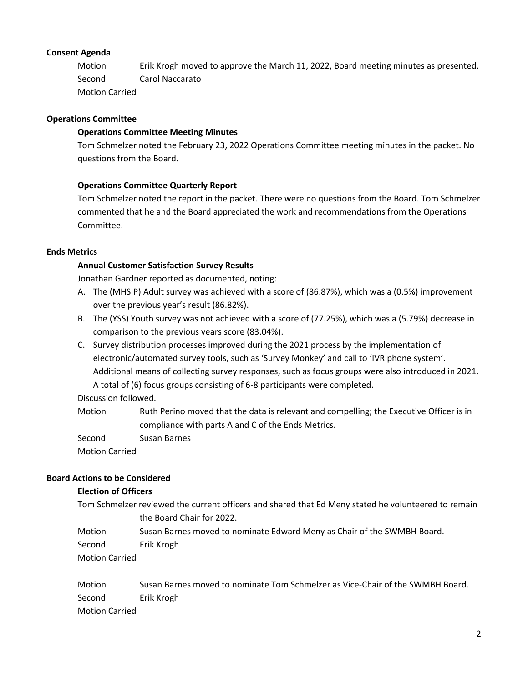# **Consent Agenda**

Motion Erik Krogh moved to approve the March 11, 2022, Board meeting minutes as presented. Second Carol Naccarato Motion Carried

# **Operations Committee**

# **Operations Committee Meeting Minutes**

Tom Schmelzer noted the February 23, 2022 Operations Committee meeting minutes in the packet. No questions from the Board.

# **Operations Committee Quarterly Report**

Tom Schmelzer noted the report in the packet. There were no questions from the Board. Tom Schmelzer commented that he and the Board appreciated the work and recommendations from the Operations Committee.

## **Ends Metrics**

# **Annual Customer Satisfaction Survey Results**

Jonathan Gardner reported as documented, noting:

- A. The (MHSIP) Adult survey was achieved with a score of (86.87%), which was a (0.5%) improvement over the previous year's result (86.82%).
- B. The (YSS) Youth survey was not achieved with a score of (77.25%), which was a (5.79%) decrease in comparison to the previous years score (83.04%).
- C. Survey distribution processes improved during the 2021 process by the implementation of electronic/automated survey tools, such as 'Survey Monkey' and call to 'IVR phone system'. Additional means of collecting survey responses, such as focus groups were also introduced in 2021. A total of (6) focus groups consisting of 6-8 participants were completed.

# Discussion followed.

Motion Ruth Perino moved that the data is relevant and compelling; the Executive Officer is in compliance with parts A and C of the Ends Metrics.

Second Susan Barnes

Motion Carried

# **Board Actions to be Considered**

## **Election of Officers**

Tom Schmelzer reviewed the current officers and shared that Ed Meny stated he volunteered to remain

the Board Chair for 2022.

Motion Susan Barnes moved to nominate Edward Meny as Chair of the SWMBH Board.

Second Erik Krogh

Motion Carried

Motion Susan Barnes moved to nominate Tom Schmelzer as Vice-Chair of the SWMBH Board. Second Erik Krogh Motion Carried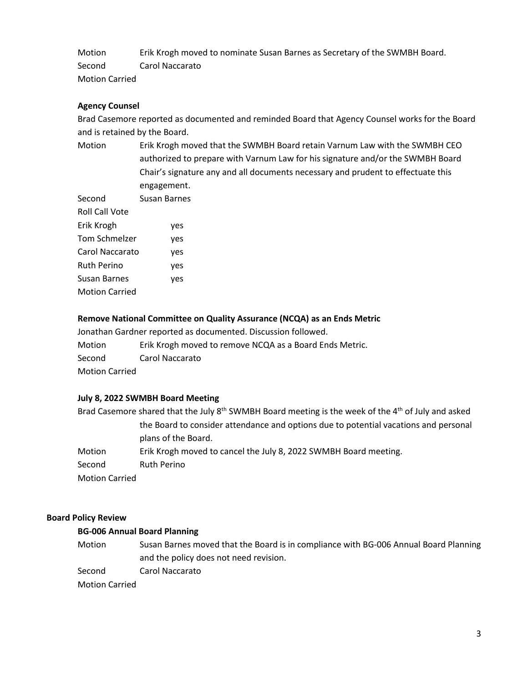Motion Erik Krogh moved to nominate Susan Barnes as Secretary of the SWMBH Board. Second Carol Naccarato Motion Carried

## **Agency Counsel**

Brad Casemore reported as documented and reminded Board that Agency Counsel works for the Board and is retained by the Board.

Motion Erik Krogh moved that the SWMBH Board retain Varnum Law with the SWMBH CEO authorized to prepare with Varnum Law for his signature and/or the SWMBH Board Chair's signature any and all documents necessary and prudent to effectuate this engagement.

| Second                | Susan Barnes |
|-----------------------|--------------|
| Roll Call Vote        |              |
| Erik Krogh            | yes          |
| Tom Schmelzer         | yes          |
| Carol Naccarato       | yes          |
| <b>Ruth Perino</b>    | yes          |
| Susan Barnes          | yes          |
| <b>Motion Carried</b> |              |
|                       |              |

#### **Remove National Committee on Quality Assurance (NCQA) as an Ends Metric**

Jonathan Gardner reported as documented. Discussion followed.

Motion Erik Krogh moved to remove NCQA as a Board Ends Metric. Second Carol Naccarato

Motion Carried

## **July 8, 2022 SWMBH Board Meeting**

Brad Casemore shared that the July  $8<sup>th</sup>$  SWMBH Board meeting is the week of the  $4<sup>th</sup>$  of July and asked the Board to consider attendance and options due to potential vacations and personal plans of the Board. Motion Erik Krogh moved to cancel the July 8, 2022 SWMBH Board meeting.

Second Ruth Perino

Motion Carried

#### **Board Policy Review**

#### **BG-006 Annual Board Planning**

Motion Susan Barnes moved that the Board is in compliance with BG-006 Annual Board Planning and the policy does not need revision.

Second Carol Naccarato

Motion Carried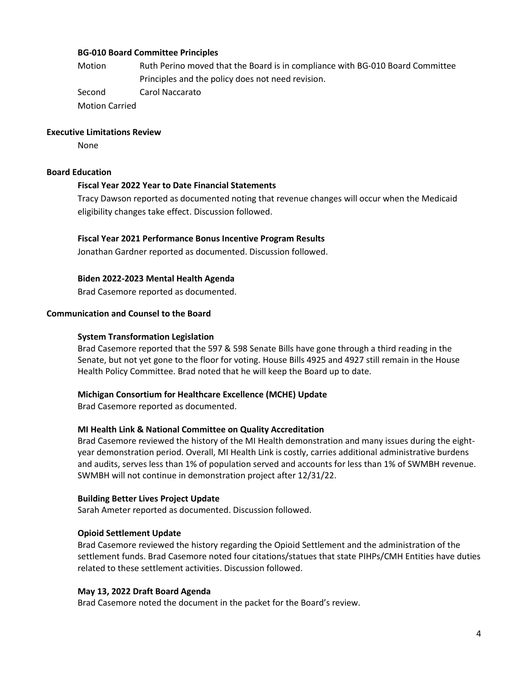## **BG-010 Board Committee Principles**

Motion Ruth Perino moved that the Board is in compliance with BG-010 Board Committee Principles and the policy does not need revision. Second Carol Naccarato

Motion Carried

#### **Executive Limitations Review**

None

#### **Board Education**

#### **Fiscal Year 2022 Year to Date Financial Statements**

Tracy Dawson reported as documented noting that revenue changes will occur when the Medicaid eligibility changes take effect. Discussion followed.

## **Fiscal Year 2021 Performance Bonus Incentive Program Results**

Jonathan Gardner reported as documented. Discussion followed.

## **Biden 2022-2023 Mental Health Agenda**

Brad Casemore reported as documented.

## **Communication and Counsel to the Board**

#### **System Transformation Legislation**

Brad Casemore reported that the 597 & 598 Senate Bills have gone through a third reading in the Senate, but not yet gone to the floor for voting. House Bills 4925 and 4927 still remain in the House Health Policy Committee. Brad noted that he will keep the Board up to date.

#### **Michigan Consortium for Healthcare Excellence (MCHE) Update**

Brad Casemore reported as documented.

#### **MI Health Link & National Committee on Quality Accreditation**

Brad Casemore reviewed the history of the MI Health demonstration and many issues during the eightyear demonstration period. Overall, MI Health Link is costly, carries additional administrative burdens and audits, serves less than 1% of population served and accounts for less than 1% of SWMBH revenue. SWMBH will not continue in demonstration project after 12/31/22.

#### **Building Better Lives Project Update**

Sarah Ameter reported as documented. Discussion followed.

## **Opioid Settlement Update**

Brad Casemore reviewed the history regarding the Opioid Settlement and the administration of the settlement funds. Brad Casemore noted four citations/statues that state PIHPs/CMH Entities have duties related to these settlement activities. Discussion followed.

#### **May 13, 2022 Draft Board Agenda**

Brad Casemore noted the document in the packet for the Board's review.